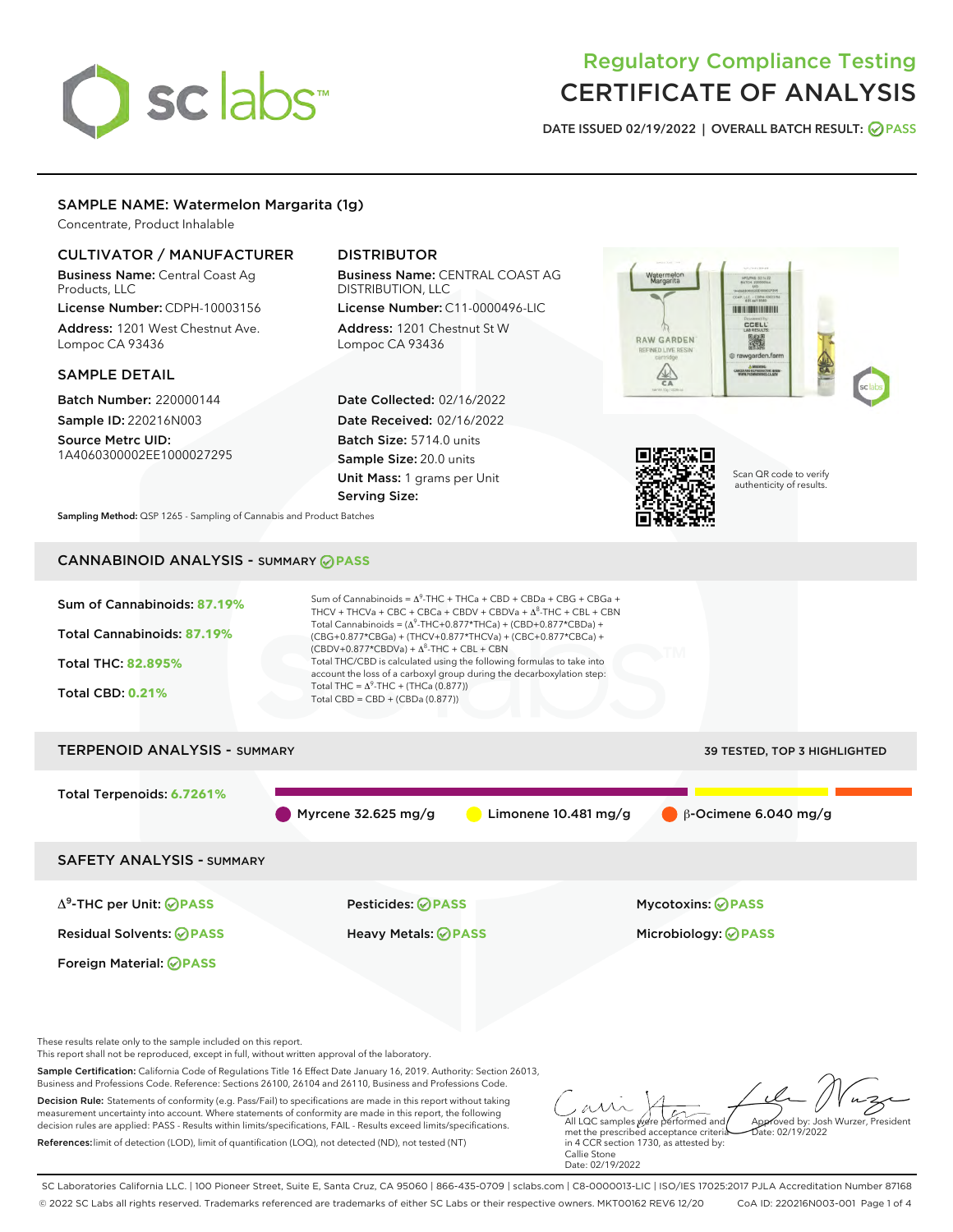# sclabs<sup>\*</sup>

# Regulatory Compliance Testing CERTIFICATE OF ANALYSIS

DATE ISSUED 02/19/2022 | OVERALL BATCH RESULT: @ PASS

# SAMPLE NAME: Watermelon Margarita (1g)

Concentrate, Product Inhalable

# CULTIVATOR / MANUFACTURER

Business Name: Central Coast Ag Products, LLC License Number: CDPH-10003156

Address: 1201 West Chestnut Ave. Lompoc CA 93436

#### SAMPLE DETAIL

Batch Number: 220000144 Sample ID: 220216N003

Source Metrc UID: 1A4060300002EE1000027295

# DISTRIBUTOR

Business Name: CENTRAL COAST AG DISTRIBUTION, LLC

License Number: C11-0000496-LIC Address: 1201 Chestnut St W Lompoc CA 93436

Date Collected: 02/16/2022 Date Received: 02/16/2022 Batch Size: 5714.0 units Sample Size: 20.0 units Unit Mass: 1 grams per Unit Serving Size:





in 4 CCR section 1730, as attested by:

Callie Stone Date: 02/19/2022 Scan QR code to verify authenticity of results.

Sampling Method: QSP 1265 - Sampling of Cannabis and Product Batches

# CANNABINOID ANALYSIS - SUMMARY **PASS**

References:limit of detection (LOD), limit of quantification (LOQ), not detected (ND), not tested (NT)



SC Laboratories California LLC. | 100 Pioneer Street, Suite E, Santa Cruz, CA 95060 | 866-435-0709 | sclabs.com | C8-0000013-LIC | ISO/IES 17025:2017 PJLA Accreditation Number 87168 © 2022 SC Labs all rights reserved. Trademarks referenced are trademarks of either SC Labs or their respective owners. MKT00162 REV6 12/20 CoA ID: 220216N003-001 Page 1 of 4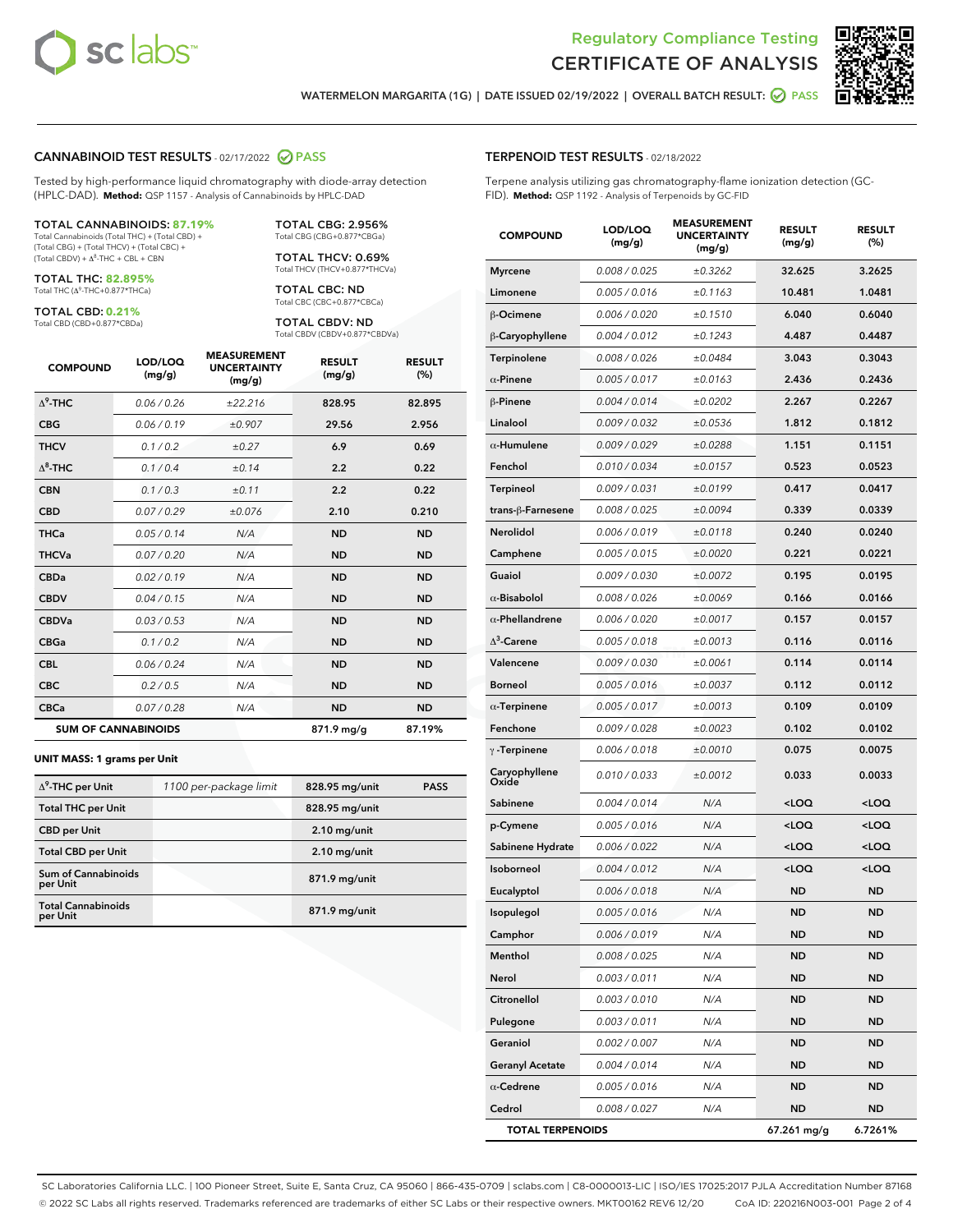



WATERMELON MARGARITA (1G) | DATE ISSUED 02/19/2022 | OVERALL BATCH RESULT: @ PASS

#### CANNABINOID TEST RESULTS - 02/17/2022 2 PASS

Tested by high-performance liquid chromatography with diode-array detection (HPLC-DAD). **Method:** QSP 1157 - Analysis of Cannabinoids by HPLC-DAD

#### TOTAL CANNABINOIDS: **87.19%**

Total Cannabinoids (Total THC) + (Total CBD) + (Total CBG) + (Total THCV) + (Total CBC) +  $(Total CBDV) +  $\Delta^8$ -THC + CBL + CBN$ 

TOTAL THC: **82.895%** Total THC (Δ<sup>9</sup> -THC+0.877\*THCa)

TOTAL CBD: **0.21%**

Total CBD (CBD+0.877\*CBDa)

TOTAL CBG: 2.956% Total CBG (CBG+0.877\*CBGa)

TOTAL THCV: 0.69% Total THCV (THCV+0.877\*THCVa)

TOTAL CBC: ND Total CBC (CBC+0.877\*CBCa)

TOTAL CBDV: ND Total CBDV (CBDV+0.877\*CBDVa)

| <b>COMPOUND</b>  | LOD/LOQ<br>(mg/g)          | <b>MEASUREMENT</b><br><b>UNCERTAINTY</b><br>(mg/g) | <b>RESULT</b><br>(mg/g) | <b>RESULT</b><br>(%) |
|------------------|----------------------------|----------------------------------------------------|-------------------------|----------------------|
| $\Lambda^9$ -THC | 0.06 / 0.26                | ±22.216                                            | 828.95                  | 82.895               |
| <b>CBG</b>       | 0.06/0.19                  | ±0.907                                             | 29.56                   | 2.956                |
| <b>THCV</b>      | 0.1 / 0.2                  | ±0.27                                              | 6.9                     | 0.69                 |
| $\Lambda^8$ -THC | 0.1/0.4                    | ±0.14                                              | 2.2                     | 0.22                 |
| <b>CBN</b>       | 0.1/0.3                    | ±0.11                                              | 2.2                     | 0.22                 |
| <b>CBD</b>       | 0.07/0.29                  | ±0.076                                             | 2.10                    | 0.210                |
| <b>THCa</b>      | 0.05/0.14                  | N/A                                                | <b>ND</b>               | <b>ND</b>            |
| <b>THCVa</b>     | 0.07/0.20                  | N/A                                                | <b>ND</b>               | <b>ND</b>            |
| <b>CBDa</b>      | 0.02/0.19                  | N/A                                                | <b>ND</b>               | <b>ND</b>            |
| <b>CBDV</b>      | 0.04 / 0.15                | N/A                                                | <b>ND</b>               | <b>ND</b>            |
| <b>CBDVa</b>     | 0.03/0.53                  | N/A                                                | <b>ND</b>               | <b>ND</b>            |
| <b>CBGa</b>      | 0.1 / 0.2                  | N/A                                                | <b>ND</b>               | <b>ND</b>            |
| <b>CBL</b>       | 0.06 / 0.24                | N/A                                                | <b>ND</b>               | <b>ND</b>            |
| <b>CBC</b>       | 0.2 / 0.5                  | N/A                                                | <b>ND</b>               | <b>ND</b>            |
| <b>CBCa</b>      | 0.07 / 0.28                | N/A                                                | <b>ND</b>               | <b>ND</b>            |
|                  | <b>SUM OF CANNABINOIDS</b> |                                                    | 871.9 mg/g              | 87.19%               |

#### **UNIT MASS: 1 grams per Unit**

| $\Delta^9$ -THC per Unit               | 1100 per-package limit | 828.95 mg/unit | <b>PASS</b> |
|----------------------------------------|------------------------|----------------|-------------|
| <b>Total THC per Unit</b>              |                        | 828.95 mg/unit |             |
| <b>CBD per Unit</b>                    |                        | $2.10$ mg/unit |             |
| <b>Total CBD per Unit</b>              |                        | $2.10$ mg/unit |             |
| <b>Sum of Cannabinoids</b><br>per Unit |                        | 871.9 mg/unit  |             |
| <b>Total Cannabinoids</b><br>per Unit  |                        | 871.9 mg/unit  |             |

#### TERPENOID TEST RESULTS - 02/18/2022

Terpene analysis utilizing gas chromatography-flame ionization detection (GC-FID). **Method:** QSP 1192 - Analysis of Terpenoids by GC-FID

| <b>COMPOUND</b>         | LOD/LOQ<br>(mg/g) | <b>MEASUREMENT</b><br><b>UNCERTAINTY</b><br>(mg/g) | <b>RESULT</b><br>(mg/g)                         | <b>RESULT</b><br>(%) |
|-------------------------|-------------------|----------------------------------------------------|-------------------------------------------------|----------------------|
| <b>Myrcene</b>          | 0.008 / 0.025     | ±0.3262                                            | 32.625                                          | 3.2625               |
| Limonene                | 0.005 / 0.016     | ±0.1163                                            | 10.481                                          | 1.0481               |
| β-Ocimene               | 0.006 / 0.020     | ±0.1510                                            | 6.040                                           | 0.6040               |
| β-Caryophyllene         | 0.004 / 0.012     | ±0.1243                                            | 4.487                                           | 0.4487               |
| Terpinolene             | 0.008 / 0.026     | ±0.0484                                            | 3.043                                           | 0.3043               |
| $\alpha$ -Pinene        | 0.005 / 0.017     | ±0.0163                                            | 2.436                                           | 0.2436               |
| $\beta$ -Pinene         | 0.004 / 0.014     | ±0.0202                                            | 2.267                                           | 0.2267               |
| Linalool                | 0.009 / 0.032     | ±0.0536                                            | 1.812                                           | 0.1812               |
| $\alpha$ -Humulene      | 0.009 / 0.029     | ±0.0288                                            | 1.151                                           | 0.1151               |
| Fenchol                 | 0.010 / 0.034     | ±0.0157                                            | 0.523                                           | 0.0523               |
| <b>Terpineol</b>        | 0.009 / 0.031     | ±0.0199                                            | 0.417                                           | 0.0417               |
| trans-β-Farnesene       | 0.008 / 0.025     | ±0.0094                                            | 0.339                                           | 0.0339               |
| <b>Nerolidol</b>        | 0.006 / 0.019     | ±0.0118                                            | 0.240                                           | 0.0240               |
| Camphene                | 0.005 / 0.015     | ±0.0020                                            | 0.221                                           | 0.0221               |
| Guaiol                  | 0.009 / 0.030     | ±0.0072                                            | 0.195                                           | 0.0195               |
| $\alpha$ -Bisabolol     | 0.008 / 0.026     | ±0.0069                                            | 0.166                                           | 0.0166               |
| $\alpha$ -Phellandrene  | 0.006 / 0.020     | ±0.0017                                            | 0.157                                           | 0.0157               |
| $\Lambda^3$ -Carene     | 0.005 / 0.018     | ±0.0013                                            | 0.116                                           | 0.0116               |
| Valencene               | 0.009 / 0.030     | ±0.0061                                            | 0.114                                           | 0.0114               |
| <b>Borneol</b>          | 0.005 / 0.016     | ±0.0037                                            | 0.112                                           | 0.0112               |
| $\alpha$ -Terpinene     | 0.005 / 0.017     | ±0.0013                                            | 0.109                                           | 0.0109               |
| Fenchone                | 0.009 / 0.028     | ±0.0023                                            | 0.102                                           | 0.0102               |
| $\gamma$ -Terpinene     | 0.006 / 0.018     | ±0.0010                                            | 0.075                                           | 0.0075               |
| Caryophyllene<br>Oxide  | 0.010 / 0.033     | ±0.0012                                            | 0.033                                           | 0.0033               |
| Sabinene                | 0.004 / 0.014     | N/A                                                | <loq< th=""><th><loq< th=""></loq<></th></loq<> | <loq< th=""></loq<>  |
| p-Cymene                | 0.005 / 0.016     | N/A                                                | <loq< th=""><th><loq< th=""></loq<></th></loq<> | <loq< th=""></loq<>  |
| Sabinene Hydrate        | 0.006 / 0.022     | N/A                                                | <loq< th=""><th><loq< th=""></loq<></th></loq<> | <loq< th=""></loq<>  |
| Isoborneol              | 0.004 / 0.012     | N/A                                                | <loq< th=""><th><loq< th=""></loq<></th></loq<> | <loq< th=""></loq<>  |
| Eucalyptol              | 0.006 / 0.018     | N/A                                                | ND                                              | ND                   |
| Isopulegol              | 0.005 / 0.016     | N/A                                                | <b>ND</b>                                       | ND.                  |
| Camphor                 | 0.006 / 0.019     | N/A                                                | ND                                              | ND                   |
| Menthol                 | 0.008 / 0.025     | N/A                                                | <b>ND</b>                                       | ND                   |
| Nerol                   | 0.003 / 0.011     | N/A                                                | ND                                              | ND                   |
| Citronellol             | 0.003 / 0.010     | N/A                                                | ND                                              | ND                   |
| Pulegone                | 0.003 / 0.011     | N/A                                                | ND                                              | ND                   |
| Geraniol                | 0.002 / 0.007     | N/A                                                | ND                                              | ND                   |
| <b>Geranyl Acetate</b>  | 0.004 / 0.014     | N/A                                                | ND                                              | ND                   |
| $\alpha$ -Cedrene       | 0.005 / 0.016     | N/A                                                | ND                                              | ND                   |
| Cedrol                  | 0.008 / 0.027     | N/A                                                | ND                                              | ND                   |
| <b>TOTAL TERPENOIDS</b> |                   |                                                    | 67.261 mg/g                                     | 6.7261%              |

SC Laboratories California LLC. | 100 Pioneer Street, Suite E, Santa Cruz, CA 95060 | 866-435-0709 | sclabs.com | C8-0000013-LIC | ISO/IES 17025:2017 PJLA Accreditation Number 87168 © 2022 SC Labs all rights reserved. Trademarks referenced are trademarks of either SC Labs or their respective owners. MKT00162 REV6 12/20 CoA ID: 220216N003-001 Page 2 of 4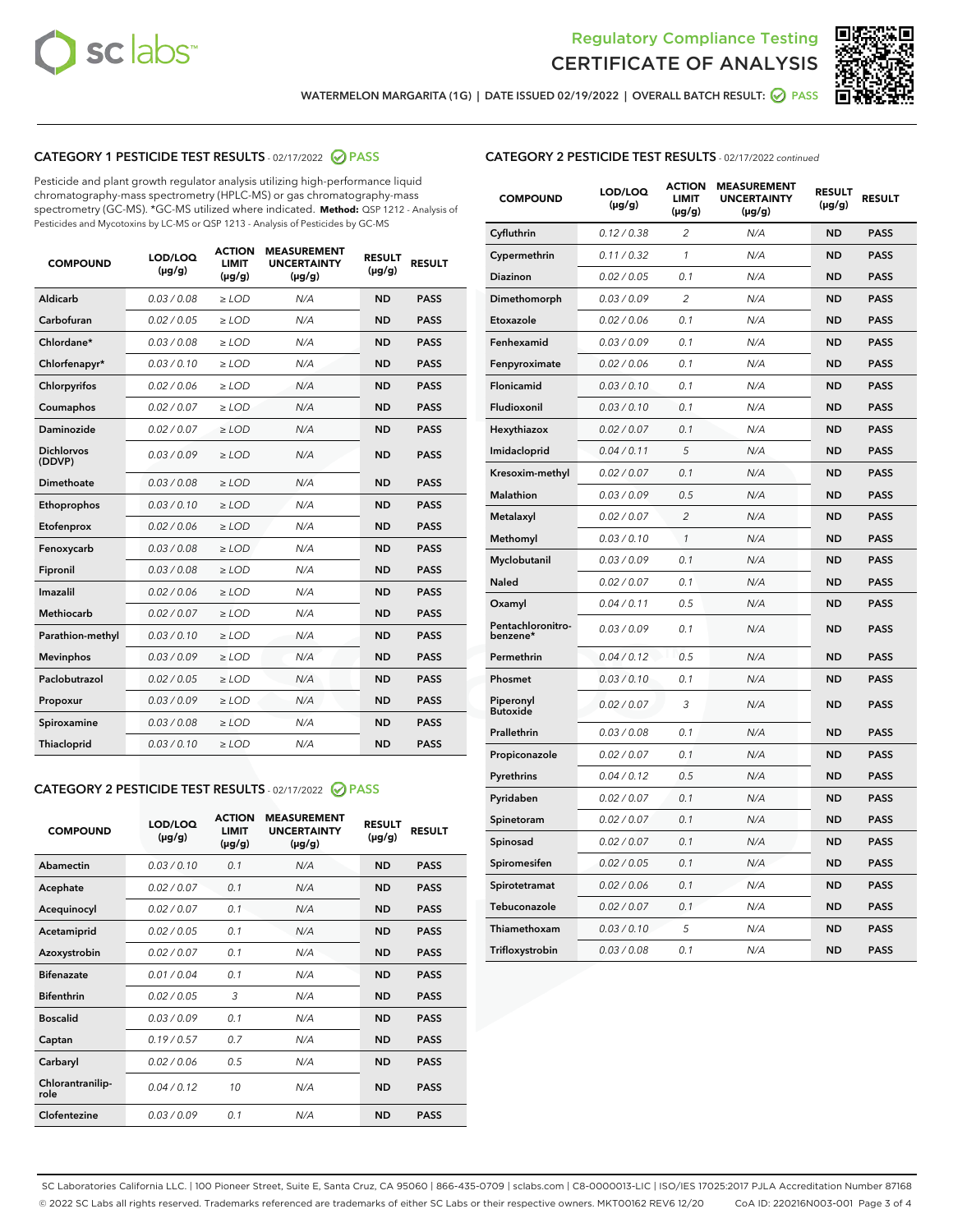



WATERMELON MARGARITA (1G) | DATE ISSUED 02/19/2022 | OVERALL BATCH RESULT: @ PASS

# CATEGORY 1 PESTICIDE TEST RESULTS - 02/17/2022 2 PASS

Pesticide and plant growth regulator analysis utilizing high-performance liquid chromatography-mass spectrometry (HPLC-MS) or gas chromatography-mass spectrometry (GC-MS). \*GC-MS utilized where indicated. **Method:** QSP 1212 - Analysis of Pesticides and Mycotoxins by LC-MS or QSP 1213 - Analysis of Pesticides by GC-MS

| 0.03 / 0.08<br><b>ND</b><br>Aldicarb<br>$\ge$ LOD<br>N/A<br><b>PASS</b><br>Carbofuran<br>0.02 / 0.05<br>$>$ LOD<br>N/A<br><b>ND</b><br><b>PASS</b><br>Chlordane*<br>0.03 / 0.08<br>N/A<br><b>ND</b><br><b>PASS</b><br>$\ge$ LOD<br>Chlorfenapyr*<br>0.03/0.10<br>N/A<br><b>ND</b><br><b>PASS</b><br>$\ge$ LOD<br>N/A<br><b>ND</b><br><b>PASS</b><br>Chlorpyrifos<br>0.02/0.06<br>$>$ LOD<br>0.02 / 0.07<br><b>PASS</b><br>Coumaphos<br>$\ge$ LOD<br>N/A<br><b>ND</b><br>Daminozide<br>0.02 / 0.07<br>N/A<br><b>PASS</b><br>$\ge$ LOD<br><b>ND</b><br><b>Dichlorvos</b><br>0.03/0.09<br>N/A<br>$\ge$ LOD<br><b>ND</b><br><b>PASS</b><br>(DDVP)<br>0.03 / 0.08<br><b>ND</b><br>Dimethoate<br>$>$ LOD<br>N/A<br><b>PASS</b><br>0.03/0.10<br><b>ND</b><br><b>PASS</b><br>Ethoprophos<br>$>$ LOD<br>N/A<br>0.02 / 0.06<br>N/A<br><b>ND</b><br><b>PASS</b><br>Etofenprox<br>$\ge$ LOD<br>0.03 / 0.08<br>N/A<br><b>ND</b><br><b>PASS</b><br>Fenoxycarb<br>$\ge$ LOD<br>0.03 / 0.08<br><b>ND</b><br><b>PASS</b><br>Fipronil<br>$\ge$ LOD<br>N/A<br>Imazalil<br>0.02 / 0.06<br>N/A<br><b>ND</b><br><b>PASS</b><br>$\ge$ LOD<br><b>Methiocarb</b><br>0.02 / 0.07<br>$\ge$ LOD<br>N/A<br><b>ND</b><br><b>PASS</b><br>Parathion-methyl<br>0.03/0.10<br>$>$ LOD<br>N/A<br><b>ND</b><br><b>PASS</b><br>0.03/0.09<br>N/A<br><b>ND</b><br><b>PASS</b><br><b>Mevinphos</b><br>$\ge$ LOD<br>Paclobutrazol<br>0.02 / 0.05<br>N/A<br><b>ND</b><br><b>PASS</b><br>$\ge$ LOD<br>0.03/0.09<br>$>$ LOD<br>N/A<br><b>ND</b><br><b>PASS</b><br>Propoxur<br>0.03 / 0.08<br>$\ge$ LOD<br>N/A<br><b>ND</b><br><b>PASS</b><br>Spiroxamine<br>0.03/0.10<br>N/A<br><b>ND</b><br><b>PASS</b><br>Thiacloprid<br>$\ge$ LOD | <b>COMPOUND</b> | LOD/LOQ<br>$(\mu g/g)$ | <b>ACTION</b><br><b>LIMIT</b><br>$(\mu g/g)$ | <b>MEASUREMENT</b><br><b>UNCERTAINTY</b><br>$(\mu g/g)$ | <b>RESULT</b><br>$(\mu g/g)$ | <b>RESULT</b> |
|-----------------------------------------------------------------------------------------------------------------------------------------------------------------------------------------------------------------------------------------------------------------------------------------------------------------------------------------------------------------------------------------------------------------------------------------------------------------------------------------------------------------------------------------------------------------------------------------------------------------------------------------------------------------------------------------------------------------------------------------------------------------------------------------------------------------------------------------------------------------------------------------------------------------------------------------------------------------------------------------------------------------------------------------------------------------------------------------------------------------------------------------------------------------------------------------------------------------------------------------------------------------------------------------------------------------------------------------------------------------------------------------------------------------------------------------------------------------------------------------------------------------------------------------------------------------------------------------------------------------------------------------------------------------------------------------|-----------------|------------------------|----------------------------------------------|---------------------------------------------------------|------------------------------|---------------|
|                                                                                                                                                                                                                                                                                                                                                                                                                                                                                                                                                                                                                                                                                                                                                                                                                                                                                                                                                                                                                                                                                                                                                                                                                                                                                                                                                                                                                                                                                                                                                                                                                                                                                         |                 |                        |                                              |                                                         |                              |               |
|                                                                                                                                                                                                                                                                                                                                                                                                                                                                                                                                                                                                                                                                                                                                                                                                                                                                                                                                                                                                                                                                                                                                                                                                                                                                                                                                                                                                                                                                                                                                                                                                                                                                                         |                 |                        |                                              |                                                         |                              |               |
|                                                                                                                                                                                                                                                                                                                                                                                                                                                                                                                                                                                                                                                                                                                                                                                                                                                                                                                                                                                                                                                                                                                                                                                                                                                                                                                                                                                                                                                                                                                                                                                                                                                                                         |                 |                        |                                              |                                                         |                              |               |
|                                                                                                                                                                                                                                                                                                                                                                                                                                                                                                                                                                                                                                                                                                                                                                                                                                                                                                                                                                                                                                                                                                                                                                                                                                                                                                                                                                                                                                                                                                                                                                                                                                                                                         |                 |                        |                                              |                                                         |                              |               |
|                                                                                                                                                                                                                                                                                                                                                                                                                                                                                                                                                                                                                                                                                                                                                                                                                                                                                                                                                                                                                                                                                                                                                                                                                                                                                                                                                                                                                                                                                                                                                                                                                                                                                         |                 |                        |                                              |                                                         |                              |               |
|                                                                                                                                                                                                                                                                                                                                                                                                                                                                                                                                                                                                                                                                                                                                                                                                                                                                                                                                                                                                                                                                                                                                                                                                                                                                                                                                                                                                                                                                                                                                                                                                                                                                                         |                 |                        |                                              |                                                         |                              |               |
|                                                                                                                                                                                                                                                                                                                                                                                                                                                                                                                                                                                                                                                                                                                                                                                                                                                                                                                                                                                                                                                                                                                                                                                                                                                                                                                                                                                                                                                                                                                                                                                                                                                                                         |                 |                        |                                              |                                                         |                              |               |
|                                                                                                                                                                                                                                                                                                                                                                                                                                                                                                                                                                                                                                                                                                                                                                                                                                                                                                                                                                                                                                                                                                                                                                                                                                                                                                                                                                                                                                                                                                                                                                                                                                                                                         |                 |                        |                                              |                                                         |                              |               |
|                                                                                                                                                                                                                                                                                                                                                                                                                                                                                                                                                                                                                                                                                                                                                                                                                                                                                                                                                                                                                                                                                                                                                                                                                                                                                                                                                                                                                                                                                                                                                                                                                                                                                         |                 |                        |                                              |                                                         |                              |               |
|                                                                                                                                                                                                                                                                                                                                                                                                                                                                                                                                                                                                                                                                                                                                                                                                                                                                                                                                                                                                                                                                                                                                                                                                                                                                                                                                                                                                                                                                                                                                                                                                                                                                                         |                 |                        |                                              |                                                         |                              |               |
|                                                                                                                                                                                                                                                                                                                                                                                                                                                                                                                                                                                                                                                                                                                                                                                                                                                                                                                                                                                                                                                                                                                                                                                                                                                                                                                                                                                                                                                                                                                                                                                                                                                                                         |                 |                        |                                              |                                                         |                              |               |
|                                                                                                                                                                                                                                                                                                                                                                                                                                                                                                                                                                                                                                                                                                                                                                                                                                                                                                                                                                                                                                                                                                                                                                                                                                                                                                                                                                                                                                                                                                                                                                                                                                                                                         |                 |                        |                                              |                                                         |                              |               |
|                                                                                                                                                                                                                                                                                                                                                                                                                                                                                                                                                                                                                                                                                                                                                                                                                                                                                                                                                                                                                                                                                                                                                                                                                                                                                                                                                                                                                                                                                                                                                                                                                                                                                         |                 |                        |                                              |                                                         |                              |               |
|                                                                                                                                                                                                                                                                                                                                                                                                                                                                                                                                                                                                                                                                                                                                                                                                                                                                                                                                                                                                                                                                                                                                                                                                                                                                                                                                                                                                                                                                                                                                                                                                                                                                                         |                 |                        |                                              |                                                         |                              |               |
|                                                                                                                                                                                                                                                                                                                                                                                                                                                                                                                                                                                                                                                                                                                                                                                                                                                                                                                                                                                                                                                                                                                                                                                                                                                                                                                                                                                                                                                                                                                                                                                                                                                                                         |                 |                        |                                              |                                                         |                              |               |
|                                                                                                                                                                                                                                                                                                                                                                                                                                                                                                                                                                                                                                                                                                                                                                                                                                                                                                                                                                                                                                                                                                                                                                                                                                                                                                                                                                                                                                                                                                                                                                                                                                                                                         |                 |                        |                                              |                                                         |                              |               |
|                                                                                                                                                                                                                                                                                                                                                                                                                                                                                                                                                                                                                                                                                                                                                                                                                                                                                                                                                                                                                                                                                                                                                                                                                                                                                                                                                                                                                                                                                                                                                                                                                                                                                         |                 |                        |                                              |                                                         |                              |               |
|                                                                                                                                                                                                                                                                                                                                                                                                                                                                                                                                                                                                                                                                                                                                                                                                                                                                                                                                                                                                                                                                                                                                                                                                                                                                                                                                                                                                                                                                                                                                                                                                                                                                                         |                 |                        |                                              |                                                         |                              |               |
|                                                                                                                                                                                                                                                                                                                                                                                                                                                                                                                                                                                                                                                                                                                                                                                                                                                                                                                                                                                                                                                                                                                                                                                                                                                                                                                                                                                                                                                                                                                                                                                                                                                                                         |                 |                        |                                              |                                                         |                              |               |
|                                                                                                                                                                                                                                                                                                                                                                                                                                                                                                                                                                                                                                                                                                                                                                                                                                                                                                                                                                                                                                                                                                                                                                                                                                                                                                                                                                                                                                                                                                                                                                                                                                                                                         |                 |                        |                                              |                                                         |                              |               |
|                                                                                                                                                                                                                                                                                                                                                                                                                                                                                                                                                                                                                                                                                                                                                                                                                                                                                                                                                                                                                                                                                                                                                                                                                                                                                                                                                                                                                                                                                                                                                                                                                                                                                         |                 |                        |                                              |                                                         |                              |               |

# CATEGORY 2 PESTICIDE TEST RESULTS - 02/17/2022 @ PASS

| <b>COMPOUND</b>          | LOD/LOO<br>$(\mu g/g)$ | <b>ACTION</b><br><b>LIMIT</b><br>$(\mu g/g)$ | <b>MEASUREMENT</b><br><b>UNCERTAINTY</b><br>$(\mu g/g)$ | <b>RESULT</b><br>$(\mu g/g)$ | <b>RESULT</b> |  |
|--------------------------|------------------------|----------------------------------------------|---------------------------------------------------------|------------------------------|---------------|--|
| Abamectin                | 0.03/0.10              | 0.1                                          | N/A                                                     | <b>ND</b>                    | <b>PASS</b>   |  |
| Acephate                 | 0.02 / 0.07            | 0.1                                          | N/A                                                     | <b>ND</b>                    | <b>PASS</b>   |  |
| Acequinocyl              | 0.02/0.07              | 0.1                                          | N/A                                                     | <b>ND</b>                    | <b>PASS</b>   |  |
| Acetamiprid              | 0.02/0.05              | 0.1                                          | N/A                                                     | <b>ND</b>                    | <b>PASS</b>   |  |
| Azoxystrobin             | 0.02 / 0.07            | 0.1                                          | N/A                                                     | <b>ND</b>                    | <b>PASS</b>   |  |
| <b>Bifenazate</b>        | 0.01/0.04              | 0.1                                          | N/A                                                     | <b>ND</b>                    | <b>PASS</b>   |  |
| <b>Bifenthrin</b>        | 0.02/0.05              | 3                                            | N/A                                                     | <b>ND</b>                    | <b>PASS</b>   |  |
| <b>Boscalid</b>          | 0.03/0.09              | 0.1                                          | N/A                                                     | <b>ND</b>                    | <b>PASS</b>   |  |
| Captan                   | 0.19/0.57              | 0.7                                          | N/A                                                     | <b>ND</b>                    | <b>PASS</b>   |  |
| Carbaryl                 | 0.02/0.06              | 0.5                                          | N/A                                                     | <b>ND</b>                    | <b>PASS</b>   |  |
| Chlorantranilip-<br>role | 0.04/0.12              | 10                                           | N/A                                                     | <b>ND</b>                    | <b>PASS</b>   |  |
| Clofentezine             | 0.03/0.09              | 0.1                                          | N/A                                                     | <b>ND</b>                    | <b>PASS</b>   |  |

# CATEGORY 2 PESTICIDE TEST RESULTS - 02/17/2022 continued

| <b>COMPOUND</b>               | LOD/LOQ<br>$(\mu g/g)$ | <b>ACTION</b><br><b>LIMIT</b><br>(µg/g) | <b>MEASUREMENT</b><br><b>UNCERTAINTY</b><br>(µg/g) | <b>RESULT</b><br>$(\mu g/g)$ | <b>RESULT</b> |
|-------------------------------|------------------------|-----------------------------------------|----------------------------------------------------|------------------------------|---------------|
| Cyfluthrin                    | 0.12 / 0.38            | $\overline{c}$                          | N/A                                                | <b>ND</b>                    | <b>PASS</b>   |
| Cypermethrin                  | 0.11/0.32              | 1                                       | N/A                                                | <b>ND</b>                    | <b>PASS</b>   |
| Diazinon                      | 0.02 / 0.05            | 0.1                                     | N/A                                                | <b>ND</b>                    | <b>PASS</b>   |
| Dimethomorph                  | 0.03 / 0.09            | 2                                       | N/A                                                | <b>ND</b>                    | <b>PASS</b>   |
| Etoxazole                     | 0.02 / 0.06            | 0.1                                     | N/A                                                | <b>ND</b>                    | <b>PASS</b>   |
| Fenhexamid                    | 0.03 / 0.09            | 0.1                                     | N/A                                                | <b>ND</b>                    | <b>PASS</b>   |
| Fenpyroximate                 | 0.02 / 0.06            | 0.1                                     | N/A                                                | <b>ND</b>                    | <b>PASS</b>   |
| Flonicamid                    | 0.03 / 0.10            | 0.1                                     | N/A                                                | <b>ND</b>                    | <b>PASS</b>   |
| Fludioxonil                   | 0.03 / 0.10            | 0.1                                     | N/A                                                | <b>ND</b>                    | <b>PASS</b>   |
| Hexythiazox                   | 0.02 / 0.07            | 0.1                                     | N/A                                                | <b>ND</b>                    | <b>PASS</b>   |
| Imidacloprid                  | 0.04 / 0.11            | 5                                       | N/A                                                | <b>ND</b>                    | <b>PASS</b>   |
| Kresoxim-methyl               | 0.02 / 0.07            | 0.1                                     | N/A                                                | <b>ND</b>                    | <b>PASS</b>   |
| Malathion                     | 0.03 / 0.09            | 0.5                                     | N/A                                                | <b>ND</b>                    | <b>PASS</b>   |
| Metalaxyl                     | 0.02 / 0.07            | $\overline{c}$                          | N/A                                                | <b>ND</b>                    | <b>PASS</b>   |
| Methomyl                      | 0.03 / 0.10            | 1                                       | N/A                                                | <b>ND</b>                    | <b>PASS</b>   |
| Myclobutanil                  | 0.03 / 0.09            | 0.1                                     | N/A                                                | <b>ND</b>                    | <b>PASS</b>   |
| Naled                         | 0.02 / 0.07            | 0.1                                     | N/A                                                | <b>ND</b>                    | <b>PASS</b>   |
| Oxamyl                        | 0.04 / 0.11            | 0.5                                     | N/A                                                | <b>ND</b>                    | <b>PASS</b>   |
| Pentachloronitro-<br>benzene* | 0.03 / 0.09            | 0.1                                     | N/A                                                | <b>ND</b>                    | <b>PASS</b>   |
| Permethrin                    | 0.04/0.12              | 0.5                                     | N/A                                                | <b>ND</b>                    | <b>PASS</b>   |
| Phosmet                       | 0.03 / 0.10            | 0.1                                     | N/A                                                | <b>ND</b>                    | <b>PASS</b>   |
| Piperonyl<br><b>Butoxide</b>  | 0.02 / 0.07            | 3                                       | N/A                                                | <b>ND</b>                    | <b>PASS</b>   |
| Prallethrin                   | 0.03 / 0.08            | 0.1                                     | N/A                                                | <b>ND</b>                    | <b>PASS</b>   |
| Propiconazole                 | 0.02 / 0.07            | 0.1                                     | N/A                                                | <b>ND</b>                    | <b>PASS</b>   |
| Pyrethrins                    | 0.04 / 0.12            | 0.5                                     | N/A                                                | <b>ND</b>                    | <b>PASS</b>   |
| Pyridaben                     | 0.02 / 0.07            | 0.1                                     | N/A                                                | <b>ND</b>                    | <b>PASS</b>   |
| Spinetoram                    | 0.02 / 0.07            | 0.1                                     | N/A                                                | <b>ND</b>                    | <b>PASS</b>   |
| Spinosad                      | 0.02 / 0.07            | 0.1                                     | N/A                                                | <b>ND</b>                    | <b>PASS</b>   |
| Spiromesifen                  | 0.02 / 0.05            | 0.1                                     | N/A                                                | ND                           | PASS          |
| Spirotetramat                 | 0.02 / 0.06            | 0.1                                     | N/A                                                | <b>ND</b>                    | <b>PASS</b>   |
| Tebuconazole                  | 0.02 / 0.07            | 0.1                                     | N/A                                                | <b>ND</b>                    | <b>PASS</b>   |
| Thiamethoxam                  | 0.03 / 0.10            | 5                                       | N/A                                                | <b>ND</b>                    | <b>PASS</b>   |
| Trifloxystrobin               | 0.03 / 0.08            | 0.1                                     | N/A                                                | <b>ND</b>                    | <b>PASS</b>   |

SC Laboratories California LLC. | 100 Pioneer Street, Suite E, Santa Cruz, CA 95060 | 866-435-0709 | sclabs.com | C8-0000013-LIC | ISO/IES 17025:2017 PJLA Accreditation Number 87168 © 2022 SC Labs all rights reserved. Trademarks referenced are trademarks of either SC Labs or their respective owners. MKT00162 REV6 12/20 CoA ID: 220216N003-001 Page 3 of 4